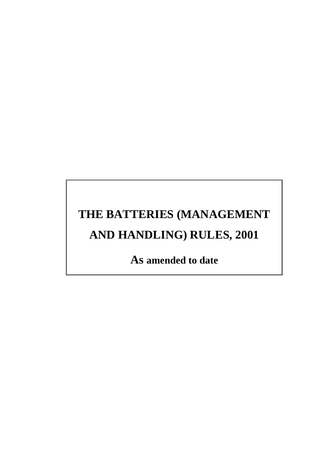# **THE BATTERIES (MANAGEMENT AND HANDLING) RULES, 2001**

**As amended to date**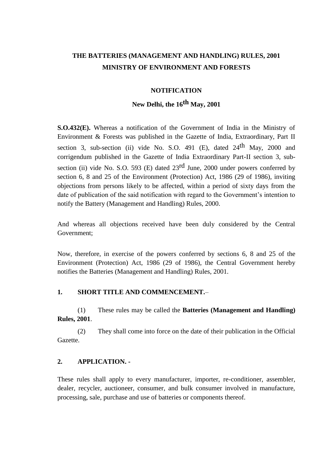# **THE BATTERIES (MANAGEMENT AND HANDLING) RULES, 2001 MINISTRY OF ENVIRONMENT AND FORESTS**

#### **NOTIFICATION**

### **New Delhi, the 16th May, 2001**

**S.O.432(E).** Whereas a notification of the Government of India in the Ministry of Environment & Forests was published in the Gazette of India, Extraordinary, Part II section 3, sub-section (ii) vide No. S.O. 491 (E), dated  $24<sup>th</sup>$  May, 2000 and corrigendum published in the Gazette of India Extraordinary Part-II section 3, subsection (ii) vide No. S.O. 593 (E) dated  $23^{\text{rd}}$  June, 2000 under powers conferred by section 6, 8 and 25 of the Environment (Protection) Act, 1986 (29 of 1986), inviting objections from persons likely to be affected, within a period of sixty days from the date of publication of the said notification with regard to the Government's intention to notify the Battery (Management and Handling) Rules, 2000.

And whereas all objections received have been duly considered by the Central Government;

Now, therefore, in exercise of the powers conferred by sections 6, 8 and 25 of the Environment (Protection) Act, 1986 (29 of 1986), the Central Government hereby notifies the Batteries (Management and Handling) Rules, 2001.

#### **1. SHORT TITLE AND COMMENCEMENT.**–

(1) These rules may be called the **Batteries (Management and Handling) Rules, 2001**.

(2) They shall come into force on the date of their publication in the Official Gazette.

#### **2. APPLICATION. -**

These rules shall apply to every manufacturer, importer, re-conditioner, assembler, dealer, recycler, auctioneer, consumer, and bulk consumer involved in manufacture, processing, sale, purchase and use of batteries or components thereof.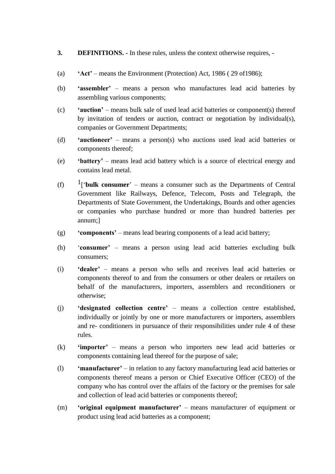- **3. DEFINITIONS. -** In these rules, unless the context otherwise requires, -
- (a) **'Act'**  means the Environment (Protection) Act, 1986 ( 29 of1986);
- (b) **'assembler'**  means a person who manufactures lead acid batteries by assembling various components;
- (c) **'auction'** means bulk sale of used lead acid batteries or component(s) thereof by invitation of tenders or auction, contract or negotiation by individual(s), companies or Government Departments;
- (d) **'auctioneer'** means a person(s) who auctions used lead acid batteries or components thereof;
- (e) **'battery'**  means lead acid battery which is a source of electrical energy and contains lead metal.
- (f) 1['**bulk consumer**' means a consumer such as the Departments of Central Government like Railways, Defence, Telecom, Posts and Telegraph, the Departments of State Government, the Undertakings, Boards and other agencies or companies who purchase hundred or more than hundred batteries per annum;]
- (g) **'components'**  means lead bearing components of a lead acid battery;
- (h) '**consumer'**  means a person using lead acid batteries excluding bulk consumers;
- (i) **'dealer'**  means a person who sells and receives lead acid batteries or components thereof to and from the consumers or other dealers or retailers on behalf of the manufacturers, importers, assemblers and reconditioners or otherwise;
- (j) **'designated collection centre'**  means a collection centre established, individually or jointly by one or more manufacturers or importers, assemblers and re- conditioners in pursuance of their responsibilities under rule 4 of these rules.
- (k) **'importer'**  means a person who importers new lead acid batteries or components containing lead thereof for the purpose of sale;
- (l) **'manufacturer'**  in relation to any factory manufacturing lead acid batteries or components thereof means a person or Chief Executive Officer (CEO) of the company who has control over the affairs of the factory or the premises for sale and collection of lead acid batteries or components thereof;
- (m) **'original equipment manufacturer'**  means manufacturer of equipment or product using lead acid batteries as a component;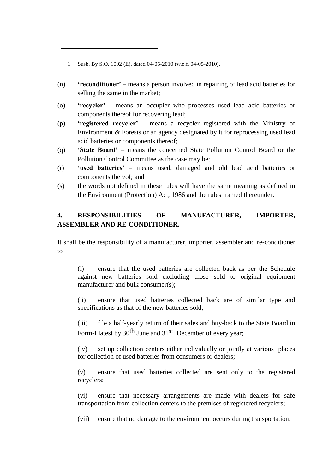1 Susb. By S.O. 1002 (E), dated 04-05-2010 (w.e.f. 04-05-2010).

- (n) **'reconditioner'**  means a person involved in repairing of lead acid batteries for selling the same in the market;
- (o) **'recycler'**  means an occupier who processes used lead acid batteries or components thereof for recovering lead;
- (p) **'registered recycler'**  means a recycler registered with the Ministry of Environment & Forests or an agency designated by it for reprocessing used lead acid batteries or components thereof;
- (q) **'State Board'**  means the concerned State Pollution Control Board or the Pollution Control Committee as the case may be;
- (r) **'used batteries'**  means used, damaged and old lead acid batteries or components thereof; and
- (s) the words not defined in these rules will have the same meaning as defined in the Environment (Protection) Act, 1986 and the rules framed thereunder.

#### **4. RESPONSIBILITIES OF MANUFACTURER, IMPORTER, ASSEMBLER AND RE-CONDITIONER.–**

It shall be the responsibility of a manufacturer, importer, assembler and re-conditioner to

(i) ensure that the used batteries are collected back as per the Schedule against new batteries sold excluding those sold to original equipment manufacturer and bulk consumer(s):

(ii) ensure that used batteries collected back are of similar type and specifications as that of the new batteries sold;

(iii) file a half-yearly return of their sales and buy-back to the State Board in Form-I latest by 30<sup>th</sup> June and 31<sup>st</sup> December of every year;

(iv) set up collection centers either individually or jointly at various places for collection of used batteries from consumers or dealers;

(v) ensure that used batteries collected are sent only to the registered recyclers;

(vi) ensure that necessary arrangements are made with dealers for safe transportation from collection centers to the premises of registered recyclers;

(vii) ensure that no damage to the environment occurs during transportation;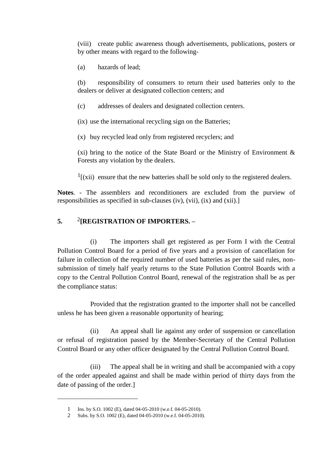(viii) create public awareness though advertisements, publications, posters or by other means with regard to the following-

(a) hazards of lead;

(b) responsibility of consumers to return their used batteries only to the dealers or deliver at designated collection centers; and

(c) addresses of dealers and designated collection centers.

(ix) use the international recycling sign on the Batteries;

(x) buy recycled lead only from registered recyclers; and

(xi) bring to the notice of the State Board or the Ministry of Environment  $\&$ Forests any violation by the dealers.

 $<sup>1</sup>$ [(xii) ensure that the new batteries shall be sold only to the registered dealers.</sup>

**Notes**. - The assemblers and reconditioners are excluded from the purview of responsibilities as specified in sub-clauses (iv), (vii), (ix) and (xii).]

#### **5.** <sup>2</sup> **[REGISTRATION OF IMPORTERS. –**

(i) The importers shall get registered as per Form I with the Central Pollution Control Board for a period of five years and a provision of cancellation for failure in collection of the required number of used batteries as per the said rules, nonsubmission of timely half yearly returns to the State Pollution Control Boards with a copy to the Central Pollution Control Board, renewal of the registration shall be as per the compliance status:

Provided that the registration granted to the importer shall not be cancelled unless he has been given a reasonable opportunity of hearing;

(ii) An appeal shall lie against any order of suspension or cancellation or refusal of registration passed by the Member-Secretary of the Central Pollution Control Board or any other officer designated by the Central Pollution Control Board.

(iii) The appeal shall be in writing and shall be accompanied with a copy of the order appealed against and shall be made within period of thirty days from the date of passing of the order.]

\_\_\_\_\_\_\_\_\_\_\_\_\_\_\_\_\_\_\_\_\_\_\_\_\_\_

<sup>1</sup> Ins. by S.O. 1002 (E), dated 04-05-2010 (w.e.f. 04-05-2010).

<sup>2</sup> Subs. by S.O. 1002 (E), dated 04-05-2010 (w.e.f. 04-05-2010).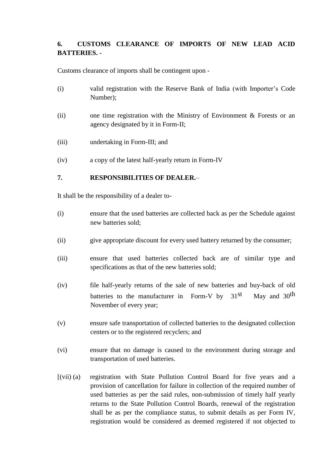# **6. CUSTOMS CLEARANCE OF IMPORTS OF NEW LEAD ACID BATTERIES. -**

Customs clearance of imports shall be contingent upon -

- (i) valid registration with the Reserve Bank of India (with Importer's Code Number);
- (ii) one time registration with the Ministry of Environment & Forests or an agency designated by it in Form-II;
- (iii) undertaking in Form-III; and
- (iv) a copy of the latest half-yearly return in Form-IV

#### **7. RESPONSIBILITIES OF DEALER.**–

It shall be the responsibility of a dealer to-

- (i) ensure that the used batteries are collected back as per the Schedule against new batteries sold;
- (ii) give appropriate discount for every used battery returned by the consumer;
- (iii) ensure that used batteries collected back are of similar type and specifications as that of the new batteries sold;
- (iv) file half-yearly returns of the sale of new batteries and buy-back of old batteries to the manufacturer in Form-V by  $31<sup>st</sup>$  May and  $30<sup>th</sup>$ November of every year;
- (v) ensure safe transportation of collected batteries to the designated collection centers or to the registered recyclers; and
- (vi) ensure that no damage is caused to the environment during storage and transportation of used batteries.
- [(vii) (a) registration with State Pollution Control Board for five years and a provision of cancellation for failure in collection of the required number of used batteries as per the said rules, non-submission of timely half yearly returns to the State Pollution Control Boards, renewal of the registration shall be as per the compliance status, to submit details as per Form IV, registration would be considered as deemed registered if not objected to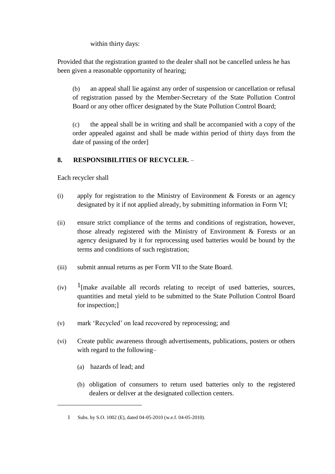within thirty days:

Provided that the registration granted to the dealer shall not be cancelled unless he has been given a reasonable opportunity of hearing;

(b) an appeal shall lie against any order of suspension or cancellation or refusal of registration passed by the Member-Secretary of the State Pollution Control Board or any other officer designated by the State Pollution Control Board;

(c) the appeal shall be in writing and shall be accompanied with a copy of the order appealed against and shall be made within period of thirty days from the date of passing of the order]

#### **8. RESPONSIBILITIES OF RECYCLER.** –

Each recycler shall

- (i) apply for registration to the Ministry of Environment & Forests or an agency designated by it if not applied already, by submitting information in Form VI;
- (ii) ensure strict compliance of the terms and conditions of registration, however, those already registered with the Ministry of Environment & Forests or an agency designated by it for reprocessing used batteries would be bound by the terms and conditions of such registration;
- (iii) submit annual returns as per Form VII to the State Board.
- $(iv)$  <sup>1</sup>[make available all records relating to receipt of used batteries, sources, quantities and metal yield to be submitted to the State Pollution Control Board for inspection;]
- (v) mark 'Recycled' on lead recovered by reprocessing; and
- (vi) Create public awareness through advertisements, publications, posters or others with regard to the following–
	- (a) hazards of lead; and

\_\_\_\_\_\_\_\_\_\_\_\_\_\_\_\_\_\_\_\_\_\_\_\_\_

(b) obligation of consumers to return used batteries only to the registered dealers or deliver at the designated collection centers.

<sup>1</sup> Subs. by S.O. 1002 (E), dated 04-05-2010 (w.e.f. 04-05-2010).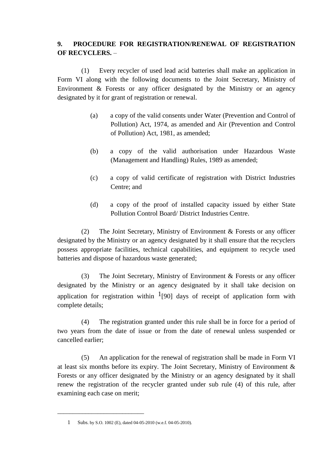#### **9. PROCEDURE FOR REGISTRATION/RENEWAL OF REGISTRATION OF RECYCLERS.** –

(1) Every recycler of used lead acid batteries shall make an application in Form VI along with the following documents to the Joint Secretary, Ministry of Environment & Forests or any officer designated by the Ministry or an agency designated by it for grant of registration or renewal.

- (a) a copy of the valid consents under Water (Prevention and Control of Pollution) Act, 1974, as amended and Air (Prevention and Control of Pollution) Act, 1981, as amended;
- (b) a copy of the valid authorisation under Hazardous Waste (Management and Handling) Rules, 1989 as amended;
- (c) a copy of valid certificate of registration with District Industries Centre; and
- (d) a copy of the proof of installed capacity issued by either State Pollution Control Board/ District Industries Centre.

(2) The Joint Secretary, Ministry of Environment & Forests or any officer designated by the Ministry or an agency designated by it shall ensure that the recyclers possess appropriate facilities, technical capabilities, and equipment to recycle used batteries and dispose of hazardous waste generated;

(3) The Joint Secretary, Ministry of Environment & Forests or any officer designated by the Ministry or an agency designated by it shall take decision on application for registration within  $1$ [90] days of receipt of application form with complete details;

(4) The registration granted under this rule shall be in force for a period of two years from the date of issue or from the date of renewal unless suspended or cancelled earlier;

(5) An application for the renewal of registration shall be made in Form VI at least six months before its expiry. The Joint Secretary, Ministry of Environment & Forests or any officer designated by the Ministry or an agency designated by it shall renew the registration of the recycler granted under sub rule (4) of this rule, after examining each case on merit;

\_\_\_\_\_\_\_\_\_\_\_\_\_\_\_\_\_\_\_\_\_\_\_\_\_\_\_\_

<sup>1</sup> Subs. by S.O. 1002 (E), dated 04-05-2010 (w.e.f. 04-05-2010).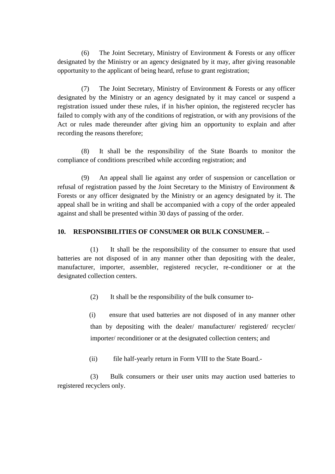(6) The Joint Secretary, Ministry of Environment & Forests or any officer designated by the Ministry or an agency designated by it may, after giving reasonable opportunity to the applicant of being heard, refuse to grant registration;

(7) The Joint Secretary, Ministry of Environment & Forests or any officer designated by the Ministry or an agency designated by it may cancel or suspend a registration issued under these rules, if in his/her opinion, the registered recycler has failed to comply with any of the conditions of registration, or with any provisions of the Act or rules made thereunder after giving him an opportunity to explain and after recording the reasons therefore;

(8) It shall be the responsibility of the State Boards to monitor the compliance of conditions prescribed while according registration; and

(9) An appeal shall lie against any order of suspension or cancellation or refusal of registration passed by the Joint Secretary to the Ministry of Environment & Forests or any officer designated by the Ministry or an agency designated by it. The appeal shall be in writing and shall be accompanied with a copy of the order appealed against and shall be presented within 30 days of passing of the order.

#### **10. RESPONSIBILITIES OF CONSUMER OR BULK CONSUMER. –**

(1) It shall be the responsibility of the consumer to ensure that used batteries are not disposed of in any manner other than depositing with the dealer, manufacturer, importer, assembler, registered recycler, re-conditioner or at the designated collection centers.

(2) It shall be the responsibility of the bulk consumer to-

(i) ensure that used batteries are not disposed of in any manner other than by depositing with the dealer/ manufacturer/ registered/ recycler/ importer/ reconditioner or at the designated collection centers; and

(ii) file half-yearly return in Form VIII to the State Board.-

(3) Bulk consumers or their user units may auction used batteries to registered recyclers only.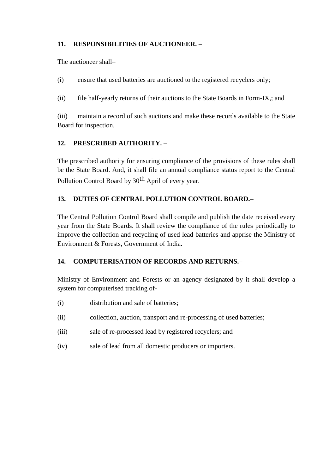#### **11. RESPONSIBILITIES OF AUCTIONEER. –**

The auctioneer shall–

(i) ensure that used batteries are auctioned to the registered recyclers only;

(ii) file half-yearly returns of their auctions to the State Boards in Form-IX,; and

(iii) maintain a record of such auctions and make these records available to the State Board for inspection.

#### **12. PRESCRIBED AUTHORITY. –**

The prescribed authority for ensuring compliance of the provisions of these rules shall be the State Board. And, it shall file an annual compliance status report to the Central Pollution Control Board by 30<sup>th</sup> April of every year.

#### **13. DUTIES OF CENTRAL POLLUTION CONTROL BOARD.–**

The Central Pollution Control Board shall compile and publish the date received every year from the State Boards. It shall review the compliance of the rules periodically to improve the collection and recycling of used lead batteries and apprise the Ministry of Environment & Forests, Government of India.

#### **14. COMPUTERISATION OF RECORDS AND RETURNS.**–

Ministry of Environment and Forests or an agency designated by it shall develop a system for computerised tracking of-

- (i) distribution and sale of batteries;
- (ii) collection, auction, transport and re-processing of used batteries;
- (iii) sale of re-processed lead by registered recyclers; and
- (iv) sale of lead from all domestic producers or importers.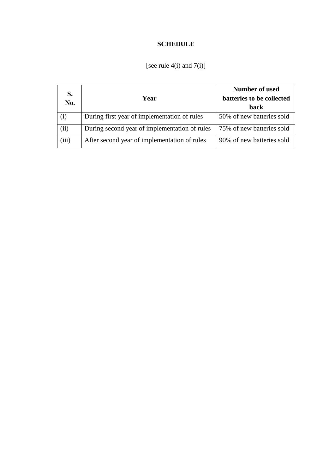# **SCHEDULE**

| S.    |                                               | Number of used            |
|-------|-----------------------------------------------|---------------------------|
| No.   | Year                                          | batteries to be collected |
|       |                                               | back                      |
| (i)   | During first year of implementation of rules  | 50% of new batteries sold |
| (ii)  | During second year of implementation of rules | 75% of new batteries sold |
| (iii) | After second year of implementation of rules  | 90% of new batteries sold |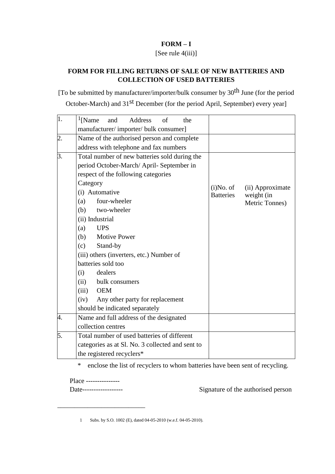#### **FORM – I**

### [See rule 4(iii)]

### **FORM FOR FILLING RETURNS OF SALE OF NEW BATTERIES AND COLLECTION OF USED BATTERIES**

[To be submitted by manufacturer/importer/bulk consumer by 30th June (for the period October-March) and 31<sup>st</sup> December (for the period April, September) every year]

| 1. | $\frac{1}{2}$ [Name]<br>Address<br>and<br>of<br>the |                  |                  |
|----|-----------------------------------------------------|------------------|------------------|
|    | manufacturer/importer/bulk consumer]                |                  |                  |
| 2. | Name of the authorised person and complete          |                  |                  |
|    | address with telephone and fax numbers              |                  |                  |
| 3. | Total number of new batteries sold during the       |                  |                  |
|    | period October-March/April-September in             |                  |                  |
|    | respect of the following categories                 |                  |                  |
|    | Category                                            | $(i)$ No. of     | (ii) Approximate |
|    | (i) Automative                                      | <b>Batteries</b> | weight (in       |
|    | four-wheeler<br>(a)                                 |                  | Metric Tonnes)   |
|    | (b) two-wheeler                                     |                  |                  |
|    | (ii) Industrial                                     |                  |                  |
|    | <b>UPS</b><br>(a)                                   |                  |                  |
|    | (b)<br><b>Motive Power</b>                          |                  |                  |
|    | Stand-by<br>(c)                                     |                  |                  |
|    | (iii) others (inverters, etc.) Number of            |                  |                  |
|    | batteries sold too                                  |                  |                  |
|    | dealers<br>(i)                                      |                  |                  |
|    | (ii)<br>bulk consumers                              |                  |                  |
|    | (iii)<br>OEM                                        |                  |                  |
|    | (iv)<br>Any other party for replacement             |                  |                  |
|    | should be indicated separately                      |                  |                  |
| 4. | Name and full address of the designated             |                  |                  |
|    | collection centres                                  |                  |                  |
| 5. | Total number of used batteries of different         |                  |                  |
|    | categories as at Sl. No. 3 collected and sent to    |                  |                  |
|    | the registered recyclers*                           |                  |                  |

\* enclose the list of recyclers to whom batteries have been sent of recycling.

Place ---------------

\_\_\_\_\_\_\_\_\_\_\_\_\_\_\_\_\_\_\_\_\_\_\_\_\_\_

Date------------------ Signature of the authorised person

1 Subs. by S.O. 1002 (E), dated 04-05-2010 (w.e.f. 04-05-2010).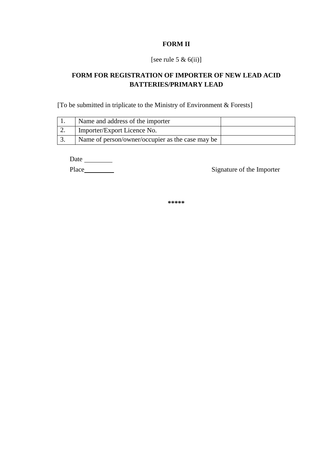#### **FORM II**

#### [see rule 5  $\&$  6(ii)]

# **FORM FOR REGISTRATION OF IMPORTER OF NEW LEAD ACID BATTERIES/PRIMARY LEAD**

[To be submitted in triplicate to the Ministry of Environment & Forests]

| Name and address of the importer                 |  |
|--------------------------------------------------|--|
| Importer/Export Licence No.                      |  |
| Name of person/owner/occupier as the case may be |  |

Date

Place Signature of the Importer

**\*\*\*\*\***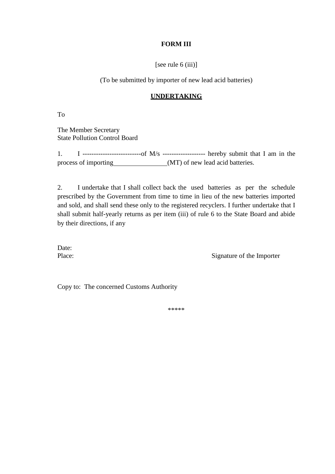#### **FORM III**

[see rule 6 (iii)]

(To be submitted by importer of new lead acid batteries)

#### **UNDERTAKING**

To

The Member Secretary State Pollution Control Board

1. I --------------------------of M/s ------------------- hereby submit that I am in the process of importing (MT) of new lead acid batteries.

2. I undertake that I shall collect back the used batteries as per the schedule prescribed by the Government from time to time in lieu of the new batteries imported and sold, and shall send these only to the registered recyclers. I further undertake that I shall submit half-yearly returns as per item (iii) of rule 6 to the State Board and abide by their directions, if any

Date:

Place: Signature of the Importer

Copy to: The concerned Customs Authority

\*\*\*\*\*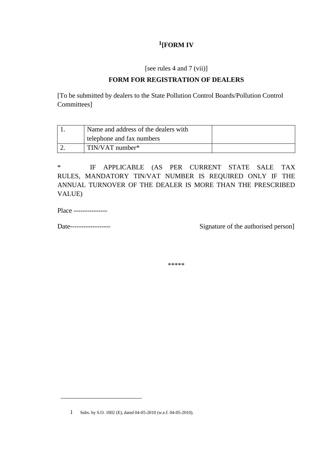# **1 [FORM IV**

[see rules 4 and 7 (vii)]

#### **FORM FOR REGISTRATION OF DEALERS**

[To be submitted by dealers to the State Pollution Control Boards/Pollution Control Committees]

| Name and address of the dealers with |  |
|--------------------------------------|--|
| telephone and fax numbers            |  |
| $TIN/VAT$ number*                    |  |

\* IF APPLICABLE (AS PER CURRENT STATE SALE TAX RULES, MANDATORY TIN/VAT NUMBER IS REQUIRED ONLY IF THE ANNUAL TURNOVER OF THE DEALER IS MORE THAN THE PRESCRIBED VALUE)

Place ---------------

Date------------------ Signature of the authorised person]

\*\*\*\*\*

<sup>1</sup> Subs. by S.O. 1002 (E), dated 04-05-2010 (w.e.f. 04-05-2010).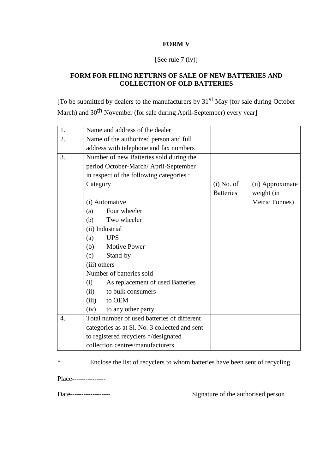#### **FORM V**

[See rule 7 (iv)]

#### **FORM FOR FILING RETURNS OF SALE OF NEW BATTERIES AND COLLECTION OF OLD BATTERIES**

[To be submitted by dealers to the manufacturers by 31st May (for sale during October March) and 30<sup>th</sup> November (for sale during April-September) every year]

| 1.               | Name and address of the dealer                |                  |                  |
|------------------|-----------------------------------------------|------------------|------------------|
| 2.               | Name of the authorized person and full        |                  |                  |
|                  | address with telephone and fax numbers        |                  |                  |
| 3.               | Number of new Batteries sold during the       |                  |                  |
|                  | period October-March/April-September          |                  |                  |
|                  | in respect of the following categories :      |                  |                  |
|                  | Category                                      | $(i)$ No. of     | (ii) Approximate |
|                  |                                               | <b>Batteries</b> | weight (in       |
|                  | (i) Automative                                |                  | Metric Tonnes)   |
|                  | Four wheeler<br>(a)                           |                  |                  |
|                  | Two wheeler<br>(b)                            |                  |                  |
|                  | (ii) Industrial                               |                  |                  |
|                  | <b>UPS</b><br>(a)                             |                  |                  |
|                  | <b>Motive Power</b><br>(b)                    |                  |                  |
|                  | (c)<br>Stand-by                               |                  |                  |
|                  | (iii) others                                  |                  |                  |
|                  | Number of batteries sold                      |                  |                  |
|                  | As replacement of used Batteries<br>(i)       |                  |                  |
|                  | to bulk consumers<br>(ii)                     |                  |                  |
|                  | to OEM<br>(iii)                               |                  |                  |
|                  | to any other party<br>(iv)                    |                  |                  |
| $\overline{4}$ . | Total number of used batteries of different   |                  |                  |
|                  | categories as at Sl. No. 3 collected and sent |                  |                  |
|                  | to registered recyclers */designated          |                  |                  |
|                  | collection centres/manufacturers              |                  |                  |

\* Enclose the list of recyclers to whom batteries have been sent of recycling.

Place---------------

Date------------------ Signature of the authorised person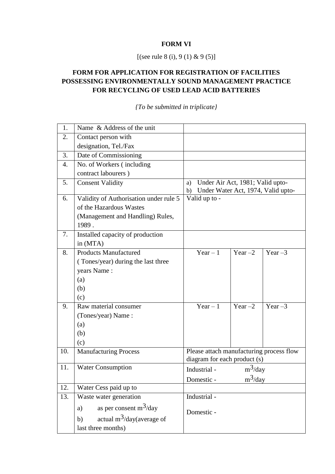#### **FORM VI**

[(see rule 8 (i), 9 (1) & 9 (5)]

# **FORM FOR APPLICATION FOR REGISTRATION OF FACILITIES POSSESSING ENVIRONMENTALLY SOUND MANAGEMENT PRACTICE FOR RECYCLING OF USED LEAD ACID BATTERIES**

| 1.  | Name & Address of the unit             |                                                                                    |            |           |
|-----|----------------------------------------|------------------------------------------------------------------------------------|------------|-----------|
| 2.  | Contact person with                    |                                                                                    |            |           |
|     | designation, Tel./Fax                  |                                                                                    |            |           |
| 3.  | Date of Commissioning                  |                                                                                    |            |           |
| 4.  | No. of Workers (including              |                                                                                    |            |           |
|     | contract labourers)                    |                                                                                    |            |           |
| 5.  | <b>Consent Validity</b>                | Under Air Act, 1981; Valid upto-<br>a)<br>Under Water Act, 1974, Valid upto-<br>b) |            |           |
| 6.  | Validity of Authorisation under rule 5 | Valid up to -                                                                      |            |           |
|     | of the Hazardous Wastes                |                                                                                    |            |           |
|     | (Management and Handling) Rules,       |                                                                                    |            |           |
|     | 1989.                                  |                                                                                    |            |           |
| 7.  | Installed capacity of production       |                                                                                    |            |           |
|     | in (MTA)                               |                                                                                    |            |           |
| 8.  | <b>Products Manufactured</b>           | Year $-1$                                                                          | Year $-2$  | Year $-3$ |
|     | (Tones/year) during the last three     |                                                                                    |            |           |
|     | years Name:                            |                                                                                    |            |           |
|     | (a)                                    |                                                                                    |            |           |
|     | (b)                                    |                                                                                    |            |           |
|     | (c)                                    |                                                                                    |            |           |
| 9.  | Raw material consumer                  | Year $-1$                                                                          | Year $-2$  | Year $-3$ |
|     | (Tones/year) Name:                     |                                                                                    |            |           |
|     | (a)                                    |                                                                                    |            |           |
|     | (b)                                    |                                                                                    |            |           |
|     | (c)                                    |                                                                                    |            |           |
| 10. | <b>Manufacturing Process</b>           | Please attach manufacturing process flow                                           |            |           |
|     |                                        | diagram for each product (s)                                                       |            |           |
| 11. | <b>Water Consumption</b>               | Industrial -                                                                       | $m^3$ /day |           |
|     |                                        | Domestic -                                                                         | $m^3$ /day |           |
| 12. | Water Cess paid up to                  |                                                                                    |            |           |
| 13. | Waste water generation                 | Industrial -                                                                       |            |           |
|     | as per consent $m^3$ /day<br>a)        |                                                                                    |            |           |
|     | actual $m^3$ /day(average of<br>b)     | Domestic -                                                                         |            |           |
|     | last three months)                     |                                                                                    |            |           |
|     |                                        |                                                                                    |            |           |

*{To be submitted in triplicate}*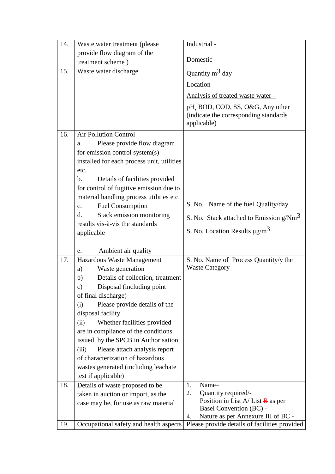| 14. | Waste water treatment (please                                                                                                                                                                                                                                                                                                                                                                                                                      | Industrial -                                                                                                                                                                                                                                                                                            |
|-----|----------------------------------------------------------------------------------------------------------------------------------------------------------------------------------------------------------------------------------------------------------------------------------------------------------------------------------------------------------------------------------------------------------------------------------------------------|---------------------------------------------------------------------------------------------------------------------------------------------------------------------------------------------------------------------------------------------------------------------------------------------------------|
|     | provide flow diagram of the                                                                                                                                                                                                                                                                                                                                                                                                                        |                                                                                                                                                                                                                                                                                                         |
|     | treatment scheme)                                                                                                                                                                                                                                                                                                                                                                                                                                  | Domestic -                                                                                                                                                                                                                                                                                              |
| 15. | Waste water discharge                                                                                                                                                                                                                                                                                                                                                                                                                              | Quantity $m^3$ day                                                                                                                                                                                                                                                                                      |
|     |                                                                                                                                                                                                                                                                                                                                                                                                                                                    | $Location -$                                                                                                                                                                                                                                                                                            |
|     |                                                                                                                                                                                                                                                                                                                                                                                                                                                    | <u>Analysis of treated waste water –</u>                                                                                                                                                                                                                                                                |
|     |                                                                                                                                                                                                                                                                                                                                                                                                                                                    | pH, BOD, COD, SS, O&G, Any other                                                                                                                                                                                                                                                                        |
|     |                                                                                                                                                                                                                                                                                                                                                                                                                                                    | (indicate the corresponding standards)                                                                                                                                                                                                                                                                  |
|     |                                                                                                                                                                                                                                                                                                                                                                                                                                                    | applicable)                                                                                                                                                                                                                                                                                             |
| 16. | <b>Air Pollution Control</b>                                                                                                                                                                                                                                                                                                                                                                                                                       |                                                                                                                                                                                                                                                                                                         |
|     | Please provide flow diagram<br>a.                                                                                                                                                                                                                                                                                                                                                                                                                  |                                                                                                                                                                                                                                                                                                         |
|     | for emission control system(s)                                                                                                                                                                                                                                                                                                                                                                                                                     |                                                                                                                                                                                                                                                                                                         |
|     | installed for each process unit, utilities                                                                                                                                                                                                                                                                                                                                                                                                         |                                                                                                                                                                                                                                                                                                         |
|     | etc.                                                                                                                                                                                                                                                                                                                                                                                                                                               |                                                                                                                                                                                                                                                                                                         |
|     | Details of facilities provided<br>b.                                                                                                                                                                                                                                                                                                                                                                                                               |                                                                                                                                                                                                                                                                                                         |
|     | for control of fugitive emission due to                                                                                                                                                                                                                                                                                                                                                                                                            |                                                                                                                                                                                                                                                                                                         |
|     | material handling process utilities etc.                                                                                                                                                                                                                                                                                                                                                                                                           |                                                                                                                                                                                                                                                                                                         |
|     |                                                                                                                                                                                                                                                                                                                                                                                                                                                    |                                                                                                                                                                                                                                                                                                         |
|     |                                                                                                                                                                                                                                                                                                                                                                                                                                                    | S. No. Stack attached to Emission $g/m3$                                                                                                                                                                                                                                                                |
|     |                                                                                                                                                                                                                                                                                                                                                                                                                                                    |                                                                                                                                                                                                                                                                                                         |
|     |                                                                                                                                                                                                                                                                                                                                                                                                                                                    |                                                                                                                                                                                                                                                                                                         |
|     |                                                                                                                                                                                                                                                                                                                                                                                                                                                    |                                                                                                                                                                                                                                                                                                         |
|     |                                                                                                                                                                                                                                                                                                                                                                                                                                                    |                                                                                                                                                                                                                                                                                                         |
|     |                                                                                                                                                                                                                                                                                                                                                                                                                                                    | <b>Waste Category</b>                                                                                                                                                                                                                                                                                   |
|     |                                                                                                                                                                                                                                                                                                                                                                                                                                                    |                                                                                                                                                                                                                                                                                                         |
|     |                                                                                                                                                                                                                                                                                                                                                                                                                                                    |                                                                                                                                                                                                                                                                                                         |
|     |                                                                                                                                                                                                                                                                                                                                                                                                                                                    |                                                                                                                                                                                                                                                                                                         |
|     |                                                                                                                                                                                                                                                                                                                                                                                                                                                    |                                                                                                                                                                                                                                                                                                         |
|     | disposal facility                                                                                                                                                                                                                                                                                                                                                                                                                                  |                                                                                                                                                                                                                                                                                                         |
|     | (ii)                                                                                                                                                                                                                                                                                                                                                                                                                                               |                                                                                                                                                                                                                                                                                                         |
|     | are in compliance of the conditions                                                                                                                                                                                                                                                                                                                                                                                                                |                                                                                                                                                                                                                                                                                                         |
|     | issued by the SPCB in Authorisation                                                                                                                                                                                                                                                                                                                                                                                                                |                                                                                                                                                                                                                                                                                                         |
|     | Please attach analysis report<br>(iii)                                                                                                                                                                                                                                                                                                                                                                                                             |                                                                                                                                                                                                                                                                                                         |
|     | of characterization of hazardous                                                                                                                                                                                                                                                                                                                                                                                                                   |                                                                                                                                                                                                                                                                                                         |
|     | wastes generated (including leachate                                                                                                                                                                                                                                                                                                                                                                                                               |                                                                                                                                                                                                                                                                                                         |
|     | test if applicable)                                                                                                                                                                                                                                                                                                                                                                                                                                |                                                                                                                                                                                                                                                                                                         |
| 18. | Details of waste proposed to be                                                                                                                                                                                                                                                                                                                                                                                                                    | Name-<br>1.                                                                                                                                                                                                                                                                                             |
|     | taken in auction or import, as the                                                                                                                                                                                                                                                                                                                                                                                                                 | Quantity required/-<br>2.                                                                                                                                                                                                                                                                               |
|     | case may be, for use as raw material                                                                                                                                                                                                                                                                                                                                                                                                               |                                                                                                                                                                                                                                                                                                         |
|     |                                                                                                                                                                                                                                                                                                                                                                                                                                                    |                                                                                                                                                                                                                                                                                                         |
| 19. |                                                                                                                                                                                                                                                                                                                                                                                                                                                    |                                                                                                                                                                                                                                                                                                         |
| 17. | <b>Fuel Consumption</b><br>$C_{\bullet}$<br>Stack emission monitoring<br>d.<br>results vis-à-vis the standards<br>applicable<br>Ambient air quality<br>e.<br>Hazardous Waste Management<br>Waste generation<br>a)<br>Details of collection, treatment<br>b)<br>Disposal (including point)<br>$\mathbf{c})$<br>of final discharge)<br>Please provide details of the<br>(i)<br>Whether facilities provided<br>Occupational safety and health aspects | S. No. Name of the fuel Quality/day<br>S. No. Location Results $\mu$ g/m <sup>3</sup><br>S. No. Name of Process Quantity/y the<br>Position in List A/List $\overline{B}$ as per<br>Basel Convention (BC) -<br>Nature as per Annexure III of BC -<br>4.<br>Please provide details of facilities provided |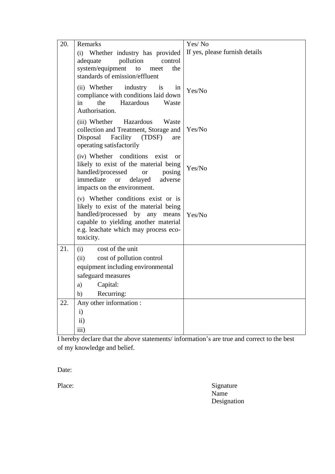| 20. | Remarks                                                                                                                                                                                                            | Yes/No                         |
|-----|--------------------------------------------------------------------------------------------------------------------------------------------------------------------------------------------------------------------|--------------------------------|
|     | (i) Whether industry has provided<br>adequate<br>pollution<br>control<br>system/equipment<br>to<br>meet<br>the<br>standards of emission/effluent                                                                   | If yes, please furnish details |
|     | (ii) Whether industry is<br>in<br>compliance with conditions laid down<br>the<br>Hazardous<br>in<br>Waste<br>Authorisation.                                                                                        | Yes/No                         |
|     | (iii) Whether Hazardous<br>Waste<br>collection and Treatment, Storage and<br>Disposal<br>Facility<br>(TDSF)<br>are<br>operating satisfactorily                                                                     | Yes/No                         |
|     | (iv) Whether conditions exist<br><sub>or</sub><br>likely to exist of the material being<br>handled/processed<br><b>or</b><br>posing<br>immediate<br>delayed<br>adverse<br><b>or</b><br>impacts on the environment. | Yes/No                         |
|     | (v) Whether conditions exist or is<br>likely to exist of the material being<br>handled/processed by any means<br>capable to yielding another material<br>e.g. leachate which may process eco-<br>toxicity.         | Yes/No                         |
| 21. | cost of the unit<br>(i)                                                                                                                                                                                            |                                |
|     | cost of pollution control<br>(ii)                                                                                                                                                                                  |                                |
|     | equipment including environmental<br>safeguard measures                                                                                                                                                            |                                |
|     | Capital:<br>a)                                                                                                                                                                                                     |                                |
|     | Recurring:<br>b)                                                                                                                                                                                                   |                                |
| 22. | Any other information :                                                                                                                                                                                            |                                |
|     | $\mathbf{i}$                                                                                                                                                                                                       |                                |
|     | ii)                                                                                                                                                                                                                |                                |
|     | iii)                                                                                                                                                                                                               |                                |

I hereby declare that the above statements/ information's are true and correct to the best of my knowledge and belief.

Date:

Place: Signature Name Designation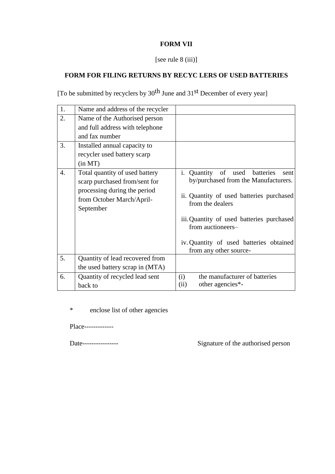# **FORM VII**

### [see rule 8 (iii)]

# **FORM FOR FILING RETURNS BY RECYC LERS OF USED BATTERIES**

[To be submitted by recyclers by 30<sup>th</sup> June and 31<sup>st</sup> December of every year]

| 1. | Name and address of the recycler                                                                                                          |                                                                                                                                                                                                                                                                                      |
|----|-------------------------------------------------------------------------------------------------------------------------------------------|--------------------------------------------------------------------------------------------------------------------------------------------------------------------------------------------------------------------------------------------------------------------------------------|
| 2. | Name of the Authorised person<br>and full address with telephone<br>and fax number                                                        |                                                                                                                                                                                                                                                                                      |
| 3. | Installed annual capacity to<br>recycler used battery scarp<br>(in MT)                                                                    |                                                                                                                                                                                                                                                                                      |
| 4. | Total quantity of used battery<br>scarp purchased from/sent for<br>processing during the period<br>from October March/April-<br>September | i. Quantity of used batteries<br>sent<br>by/purchased from the Manufacturers.<br>ii. Quantity of used batteries purchased<br>from the dealers<br>iii. Quantity of used batteries purchased<br>from auctioneers-<br>iv. Quantity of used batteries obtained<br>from any other source- |
| 5. | Quantity of lead recovered from<br>the used battery scrap in (MTA)                                                                        |                                                                                                                                                                                                                                                                                      |
| 6. | Quantity of recycled lead sent<br>back to                                                                                                 | the manufacturer of batteries<br>(i)<br>other agencies*-<br>(ii)                                                                                                                                                                                                                     |

\* enclose list of other agencies

Place-------------

Date---------------- Signature of the authorised person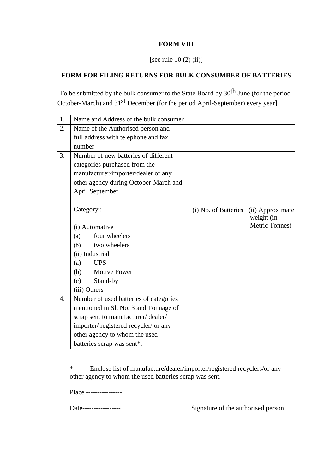#### **FORM VIII**

#### [see rule  $10(2)$  (ii)]

#### **FORM FOR FILING RETURNS FOR BULK CONSUMBER OF BATTERIES**

[To be submitted by the bulk consumer to the State Board by  $30<sup>th</sup>$  June (for the period October-March) and 31st December (for the period April-September) every year]

| 1.               | Name and Address of the bulk consumer  |                      |                  |
|------------------|----------------------------------------|----------------------|------------------|
| $\overline{2}$ . | Name of the Authorised person and      |                      |                  |
|                  | full address with telephone and fax    |                      |                  |
|                  | number                                 |                      |                  |
| 3.               | Number of new batteries of different   |                      |                  |
|                  | categories purchased from the          |                      |                  |
|                  | manufacturer/importer/dealer or any    |                      |                  |
|                  | other agency during October-March and  |                      |                  |
|                  | April September                        |                      |                  |
|                  |                                        |                      |                  |
|                  | Category:                              | (i) No. of Batteries | (ii) Approximate |
|                  |                                        |                      | weight (in       |
|                  | (i) Automative                         |                      | Metric Tonnes)   |
|                  | four wheelers<br>(a)                   |                      |                  |
|                  | two wheelers<br>(b)                    |                      |                  |
|                  | (ii) Industrial                        |                      |                  |
|                  | <b>UPS</b><br>(a)                      |                      |                  |
|                  | (b) Motive Power                       |                      |                  |
|                  | (c)<br>Stand-by                        |                      |                  |
|                  | (iii) Others                           |                      |                  |
| $\overline{4}$ . | Number of used batteries of categories |                      |                  |
|                  | mentioned in Sl. No. 3 and Tonnage of  |                      |                  |
|                  | scrap sent to manufacturer/dealer/     |                      |                  |
|                  | importer/registered recycler/ or any   |                      |                  |
|                  | other agency to whom the used          |                      |                  |
|                  | batteries scrap was sent*.             |                      |                  |

\* Enclose list of manufacture/dealer/importer/registered recyclers/or any other agency to whom the used batteries scrap was sent.

Place ----------------

Date----------------- Signature of the authorised person